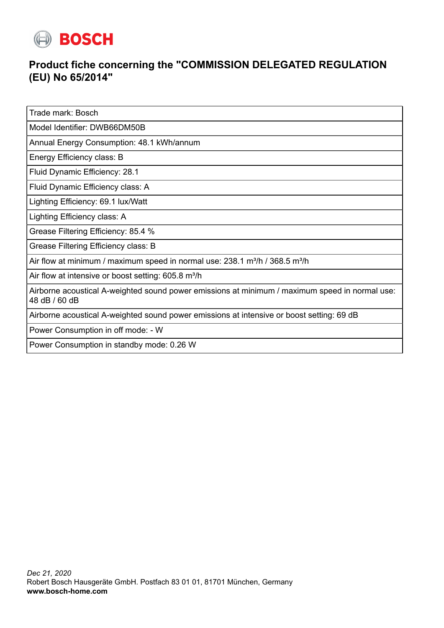

## **Product fiche concerning the "COMMISSION DELEGATED REGULATION (EU) No 65/2014"**

Trade mark: Bosch

Model Identifier: DWB66DM50B

Annual Energy Consumption: 48.1 kWh/annum

Energy Efficiency class: B

Fluid Dynamic Efficiency: 28.1

Fluid Dynamic Efficiency class: A

Lighting Efficiency: 69.1 lux/Watt

Lighting Efficiency class: A

Grease Filtering Efficiency: 85.4 %

Grease Filtering Efficiency class: B

Air flow at minimum / maximum speed in normal use:  $238.1 \text{ m}^3/\text{h}$  /  $368.5 \text{ m}^3/\text{h}$ 

Air flow at intensive or boost setting: 605.8 m<sup>3</sup>/h

Airborne acoustical A-weighted sound power emissions at minimum / maximum speed in normal use: 48 dB / 60 dB

Airborne acoustical A-weighted sound power emissions at intensive or boost setting: 69 dB

Power Consumption in off mode: - W

Power Consumption in standby mode: 0.26 W